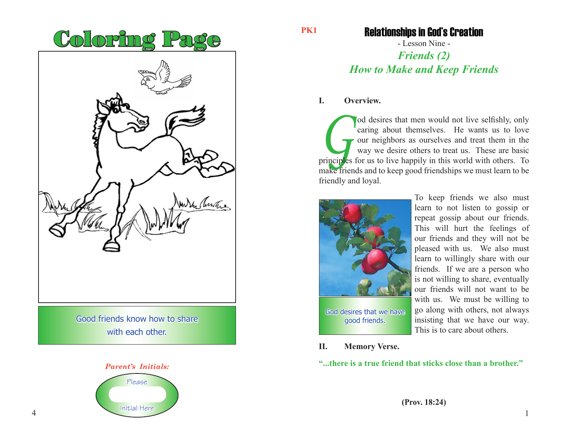

with each other.

# *Parent's Initials:* Please Initial Here

**PK1**

## Relationships in God's Creation

- Lesson Nine - *Friends (2) How to Make and Keep Friends*

#### **I. Overview.**

od desires that men would not live selfishly, only caring about themselves. He wants us to love our neighbors as ourselves and treat them in the way we desire others to treat us. These are basic principles for us to live h caring about themselves. He wants us to love our neighbors as ourselves and treat them in the way we desire others to treat us. These are basic make friends and to keep good friendships we must learn to be friendly and loyal.



To keep friends we also must learn to not listen to gossip or repeat gossip about our friends. This will hurt the feelings of our friends and they will not be pleased with us. We also must learn to willingly share with our friends. If we are a person who is not willing to share, eventually our friends will not want to be with us. We must be willing to go along with others, not always insisting that we have our way. This is to care about others.

**II. Memory Verse.**

**"...there is a true friend that sticks close than a brother."**

**(Prov. 18:24)**